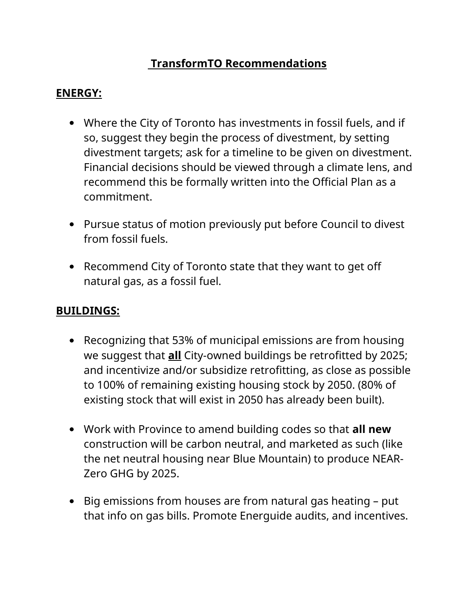# **TransformTO Recommendations**

## **ENERGY:**

- Where the City of Toronto has investments in fossil fuels, and if so, suggest they begin the process of divestment, by setting divestment targets; ask for a timeline to be given on divestment. Financial decisions should be viewed through a climate lens, and recommend this be formally written into the Official Plan as a commitment.
- Pursue status of motion previously put before Council to divest from fossil fuels.
- Recommend City of Toronto state that they want to get off natural gas, as a fossil fuel.

# **BUILDINGS:**

- Recognizing that 53% of municipal emissions are from housing we suggest that **all** City-owned buildings be retrofitted by 2025; and incentivize and/or subsidize retrofitting, as close as possible to 100% of remaining existing housing stock by 2050. (80% of existing stock that will exist in 2050 has already been built).
- Work with Province to amend building codes so that **all new** construction will be carbon neutral, and marketed as such (like the net neutral housing near Blue Mountain) to produce NEAR-Zero GHG by 2025.
- Big emissions from houses are from natural gas heating put that info on gas bills. Promote Energuide audits, and incentives.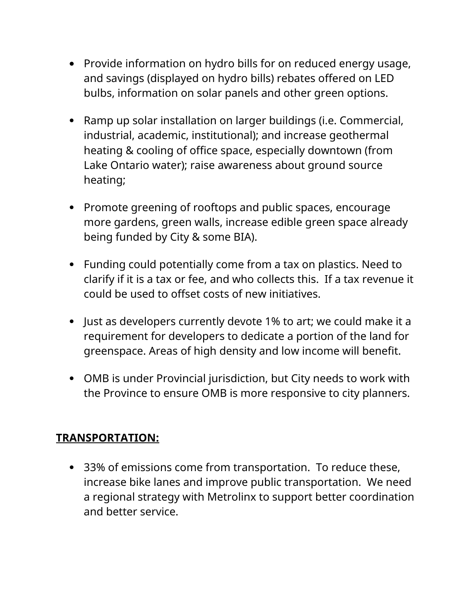- Provide information on hydro bills for on reduced energy usage, and savings (displayed on hydro bills) rebates offered on LED bulbs, information on solar panels and other green options.
- Ramp up solar installation on larger buildings (i.e. Commercial, industrial, academic, institutional); and increase geothermal heating & cooling of office space, especially downtown (from Lake Ontario water); raise awareness about ground source heating;
- Promote greening of rooftops and public spaces, encourage more gardens, green walls, increase edible green space already being funded by City & some BIA).
- Funding could potentially come from a tax on plastics. Need to clarify if it is a tax or fee, and who collects this. If a tax revenue it could be used to offset costs of new initiatives.
- Just as developers currently devote 1% to art; we could make it a requirement for developers to dedicate a portion of the land for greenspace. Areas of high density and low income will benefit.
- OMB is under Provincial jurisdiction, but City needs to work with the Province to ensure OMB is more responsive to city planners.

### **TRANSPORTATION:**

 33% of emissions come from transportation. To reduce these, increase bike lanes and improve public transportation. We need a regional strategy with Metrolinx to support better coordination and better service.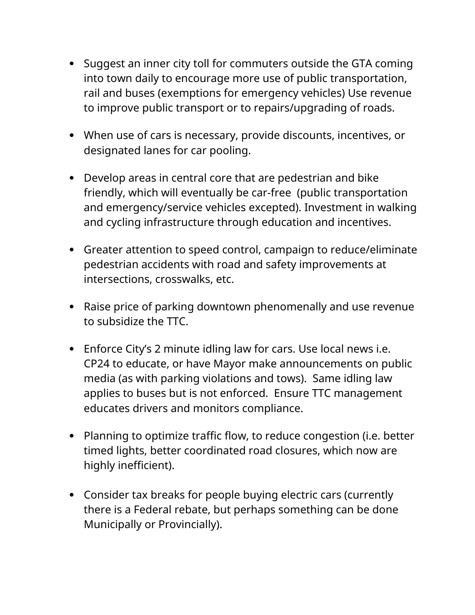- Suggest an inner city toll for commuters outside the GTA coming into town daily to encourage more use of public transportation, rail and buses (exemptions for emergency vehicles) Use revenue to improve public transport or to repairs/upgrading of roads.
- When use of cars is necessary, provide discounts, incentives, or designated lanes for car pooling.
- Develop areas in central core that are pedestrian and bike friendly, which will eventually be car-free (public transportation and emergency/service vehicles excepted). Investment in walking and cycling infrastructure through education and incentives.
- Greater attention to speed control, campaign to reduce/eliminate pedestrian accidents with road and safety improvements at intersections, crosswalks, etc.
- Raise price of parking downtown phenomenally and use revenue to subsidize the TTC.
- Enforce City's 2 minute idling law for cars. Use local news i.e. CP24 to educate, or have Mayor make announcements on public media (as with parking violations and tows). Same idling law applies to buses but is not enforced. Ensure TTC management educates drivers and monitors compliance.
- Planning to optimize traffic flow, to reduce congestion (i.e. better timed lights, better coordinated road closures, which now are highly inefficient).
- Consider tax breaks for people buying electric cars (currently there is a Federal rebate, but perhaps something can be done Municipally or Provincially).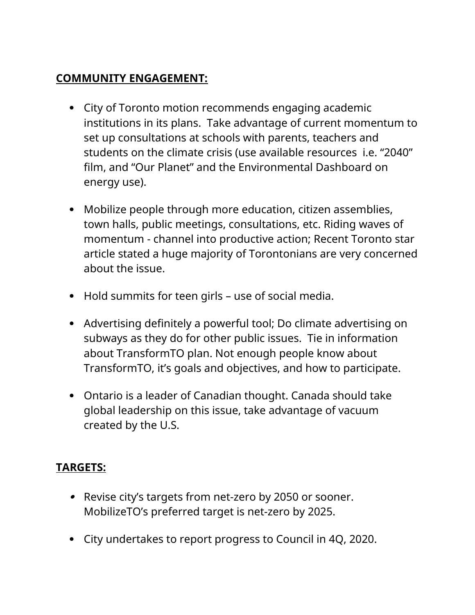## **COMMUNITY ENGAGEMENT:**

- City of Toronto motion recommends engaging academic institutions in its plans. Take advantage of current momentum to set up consultations at schools with parents, teachers and students on the climate crisis (use available resources i.e. "2040" film, and "Our Planet" and the Environmental Dashboard on energy use).
- Mobilize people through more education, citizen assemblies, town halls, public meetings, consultations, etc. Riding waves of momentum - channel into productive action; Recent Toronto star article stated a huge majority of Torontonians are very concerned about the issue.
- Hold summits for teen girls use of social media.
- Advertising definitely a powerful tool; Do climate advertising on subways as they do for other public issues. Tie in information about TransformTO plan. Not enough people know about TransformTO, it's goals and objectives, and how to participate.
- Ontario is a leader of Canadian thought. Canada should take global leadership on this issue, take advantage of vacuum created by the U.S.

# **TARGETS:**

- Revise city's targets from net-zero by 2050 or sooner. MobilizeTO's preferred target is net-zero by 2025.
- City undertakes to report progress to Council in 4Q, 2020.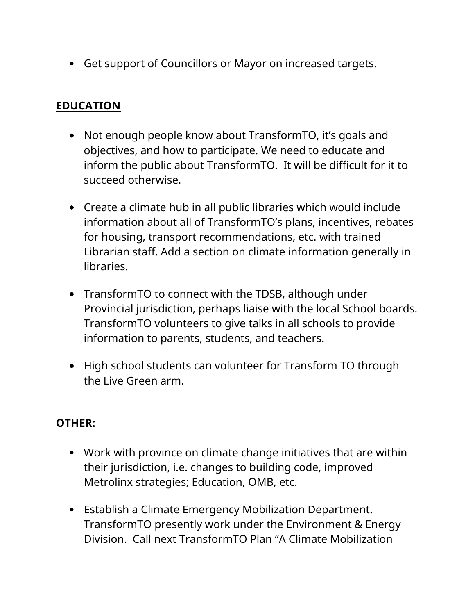Get support of Councillors or Mayor on increased targets.

### **EDUCATION**

- Not enough people know about TransformTO, it's goals and objectives, and how to participate. We need to educate and inform the public about TransformTO. It will be difficult for it to succeed otherwise.
- Create a climate hub in all public libraries which would include information about all of TransformTO's plans, incentives, rebates for housing, transport recommendations, etc. with trained Librarian staff. Add a section on climate information generally in libraries.
- TransformTO to connect with the TDSB, although under Provincial jurisdiction, perhaps liaise with the local School boards. TransformTO volunteers to give talks in all schools to provide information to parents, students, and teachers.
- High school students can volunteer for Transform TO through the Live Green arm.

### **OTHER:**

- Work with province on climate change initiatives that are within their jurisdiction, i.e. changes to building code, improved Metrolinx strategies; Education, OMB, etc.
- Establish a Climate Emergency Mobilization Department. TransformTO presently work under the Environment & Energy Division. Call next TransformTO Plan "A Climate Mobilization